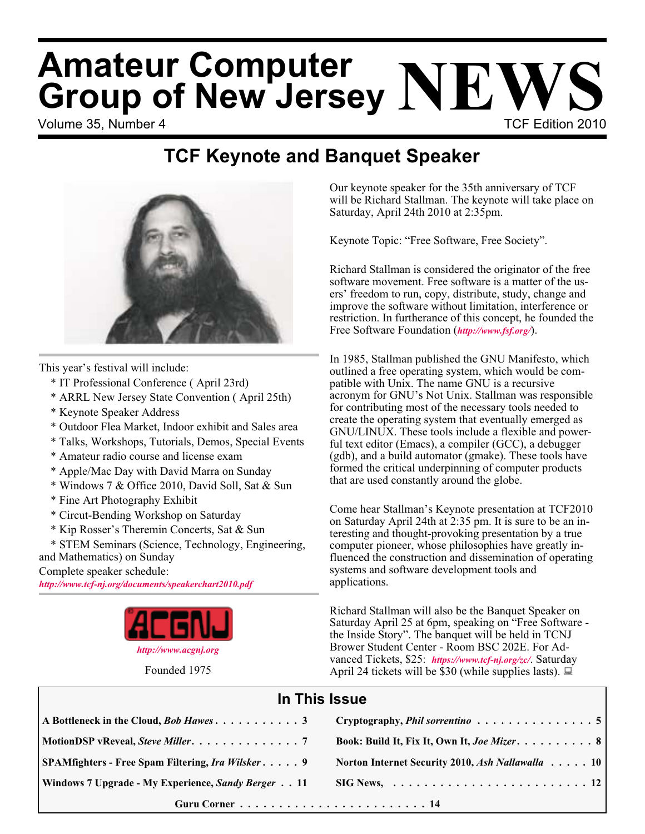# Volume 35, Number 4 TCF Edition 2010 **Amateur Computer Group of New Jersey NEWS**

## **TCF Keynote and Banquet Speaker**



This year's festival will include:

- \* IT Professional Conference ( April 23rd)
- \* ARRL New Jersey State Convention ( April 25th)
- \* Keynote Speaker Address
- \* Outdoor Flea Market, Indoor exhibit and Sales area
- \* Talks, Workshops, Tutorials, Demos, Special Events
- \* Amateur radio course and license exam
- \* Apple/Mac Day with David Marra on Sunday
- \* Windows 7 & Office 2010, David Soll, Sat & Sun
- \* Fine Art Photography Exhibit
- \* Circut-Bending Workshop on Saturday
- \* Kip Rosser's Theremin Concerts, Sat & Sun

\* STEM Seminars (Science, Technology, Engineering, and Mathematics) on Sunday

Complete speaker schedule:

*<http://www.tcf-nj.org/documents/speakerchart2010.pdf>*



Founded 1975

Our keynote speaker for the 35th anniversary of TCF will be Richard Stallman. The keynote will take place on Saturday, April 24th 2010 at 2:35pm.

Keynote Topic: "Free Software, Free Society".

Richard Stallman is considered the originator of the free software movement. Free software is a matter of the users' freedom to run, copy, distribute, study, change and improve the software without limitation, interference or restriction. In furtherance of this concept, he founded the Free Software Foundation (*<http://www.fsf.org/>*).

In 1985, Stallman published the GNU Manifesto, which outlined a free operating system, which would be compatible with Unix. The name GNU is a recursive acronym for GNU's Not Unix. Stallman was responsible for contributing most of the necessary tools needed to create the operating system that eventually emerged as GNU/LINUX. These tools include a flexible and powerful text editor (Emacs), a compiler (GCC), a debugger (gdb), and a build automator (gmake). These tools have formed the critical underpinning of computer products that are used constantly around the globe.

Come hear Stallman's Keynote presentation at TCF2010 on Saturday April 24th at 2:35 pm. It is sure to be an interesting and thought-provoking presentation by a true computer pioneer, whose philosophies have greatly influenced the construction and dissemination of operating systems and software development tools and applications.

Richard Stallman will also be the Banquet Speaker on Saturday April 25 at 6pm, speaking on "Free Software the Inside Story". The banquet will be held in TCNJ Brower Student Center - Room BSC 202E. For Advanced Tickets, \$25: *<https://www.tcf-nj.org/zc/>*. Saturday April 24 tickets will be \$30 (while supplies lasts).  $\Box$ 

### **In This Issue**

|                                                    | Cryptography, <i>Phil sorrentino</i> 5                                 |
|----------------------------------------------------|------------------------------------------------------------------------|
|                                                    | Book: Build It, Fix It, Own It, Joe Mizer. 8                           |
| SPAMfighters - Free Spam Filtering, Ira Wilsker 9  | Norton Internet Security 2010, Ash Nallawalla 10                       |
| Windows 7 Upgrade - My Experience, Sandy Berger 11 | $\text{SIG News}, \ldots \ldots \ldots \ldots \ldots \ldots \ldots 12$ |
|                                                    |                                                                        |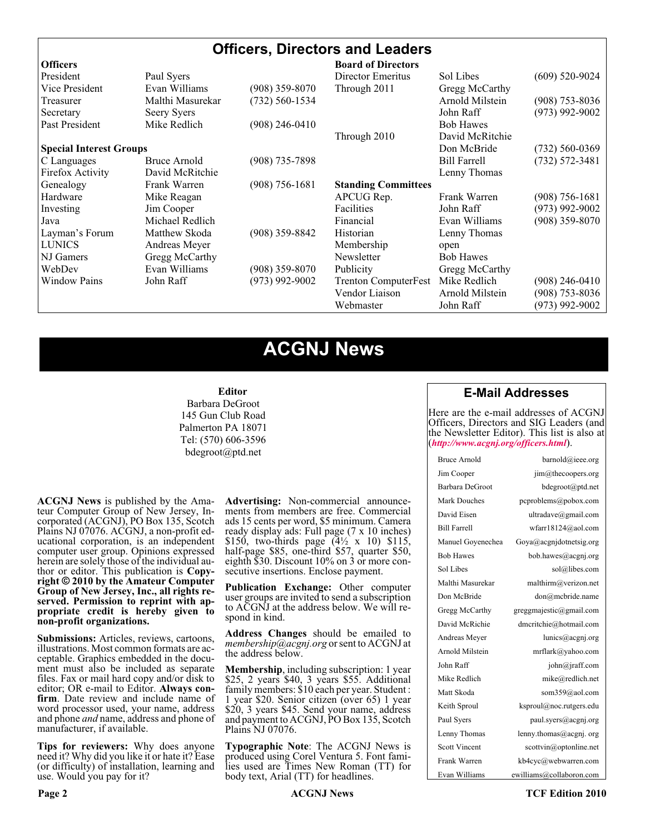#### **Officers, Directors and Leaders**

| <b>Officers</b>                |                  |                    | <b>Board of Directors</b>   |                     |                    |
|--------------------------------|------------------|--------------------|-----------------------------|---------------------|--------------------|
| President                      | Paul Syers       |                    | Director Emeritus           | Sol Libes           | $(609)$ 520-9024   |
| Vice President                 | Evan Williams    | $(908)$ 359-8070   | Through 2011                | Gregg McCarthy      |                    |
| Treasurer                      | Malthi Masurekar | (732) 560-1534     |                             | Arnold Milstein     | $(908)$ 753-8036   |
| Secretary                      | Seery Syers      |                    |                             | John Raff           | $(973)$ 992-9002   |
| Past President                 | Mike Redlich     | $(908)$ 246-0410   |                             | <b>Bob Hawes</b>    |                    |
|                                |                  |                    | Through 2010                | David McRitchie     |                    |
| <b>Special Interest Groups</b> |                  |                    |                             | Don McBride         | $(732) 560 - 0369$ |
| C Languages                    | Bruce Arnold     | $(908)$ 735-7898   |                             | <b>Bill Farrell</b> | $(732) 572 - 3481$ |
| Firefox Activity               | David McRitchie  |                    |                             | Lenny Thomas        |                    |
| Genealogy                      | Frank Warren     | $(908) 756 - 1681$ | <b>Standing Committees</b>  |                     |                    |
| Hardware                       | Mike Reagan      |                    | APCUG Rep.                  | Frank Warren        | $(908) 756 - 1681$ |
| Investing                      | Jim Cooper       |                    | Facilities                  | John Raff           | $(973)$ 992-9002   |
| Java                           | Michael Redlich  |                    | Financial                   | Evan Williams       | $(908)$ 359-8070   |
| Layman's Forum                 | Matthew Skoda    | $(908)$ 359-8842   | Historian                   | Lenny Thomas        |                    |
| <b>LUNICS</b>                  | Andreas Meyer    |                    | Membership                  | open                |                    |
| NJ Gamers                      | Gregg McCarthy   |                    | Newsletter                  | <b>Bob Hawes</b>    |                    |
| WebDev                         | Evan Williams    | $(908)$ 359-8070   | Publicity                   | Gregg McCarthy      |                    |
| <b>Window Pains</b>            | John Raff        | $(973)$ 992-9002   | <b>Trenton ComputerFest</b> | Mike Redlich        | $(908)$ 246-0410   |
|                                |                  |                    | Vendor Liaison              | Arnold Milstein     | $(908)$ 753-8036   |
|                                |                  |                    | Webmaster                   | John Raff           | $(973)$ 992-9002   |

### **ACGNJ News**

#### **Editor**

Barbara DeGroot 145 Gun Club Road Palmerton PA 18071 Tel: (570) 606-3596 bdegroot@ptd.net

**ACGNJ News** is published by the Ama- teur Computer Group of New Jersey, In- corporated (ACGNJ), PO Box 135, Scotch Plains NJ 07076. ACGNJ, a non-profit ed- ucational corporation, is an independent computer user group. Opinions expressed herein are solely those of the individual author or editor. This publication is **Copy-**<br>**right**  $\bigcirc$  2010 by the Amateur Computer<br>**Group of New Jersey, Inc., all rights re-Group of New Jersey, Inc., all rights re- served. Permission to reprint with ap- propriate credit is hereby given to non-profit organizations.**

**Submissions:** Articles, reviews, cartoons, illustrations. Most common formats are ac- ceptable. Graphics embedded in the docu- ment must also be included as separate files. Fax or mail hard copy and/or disk to editor; OR e-mail to Editor. Always confirm. Date review and include name of word processor used, your name, address and phone *and* name, address and phone of manufacturer, if available.

**Tips for reviewers:** Why does anyone need it? Why did you like it or hate it? Ease (or difficulty) of installation, learning and use. Would you pay for it?

**Advertising:** Non-commercial announce- ments from members are free. Commercial ads 15 cents per word, \$5 minimum. Camera ready display ads: Full page (7 x 10 inches) \$150, two-thirds page  $(4\frac{1}{2} \times 10)$  \$115, half-page \$85, one-third \$57, quarter \$50, eighth \$30. Discount 10% on 3 or more con- secutive insertions. Enclose payment.

**Publication Exchange:** Other computer user groups are invited to send a subscription to ACGNJ at the address below. We will re- spond in kind.

**Address Changes** should be emailed to *membership@acgnj.org* or sent to ACGNJ at the address below.

**Membership**, including subscription: 1 year \$25, 2 years \$40, 3 years \$55. Additional family members: \$10 each per year. Student : 1 year \$20. Senior citizen (over 65) 1 year \$20, 3 years \$45. Send your name, address and payment to ACGNJ, PO Box 135, Scotch Plains NJ 07076.

**Typographic Note**: The ACGNJ News is produced using Corel Ventura 5. Font fami- lies used are Times New Roman (TT) for body text, Arial (TT) for headlines.

#### **E-Mail Addresses**

Here are the e-mail addresses of ACGNJ Officers, Directors and SIG Leaders (and the Newsletter Editor). This list is also at (*<http://www.acgnj.org/officers.html>*).

| Bruce Arnold         | barnold@ieee.org                     |
|----------------------|--------------------------------------|
| Jim Cooper           | jim@thecoopers.org                   |
| Barbara DeGroot      | bdegroot@ptd.net                     |
| <b>Mark Douches</b>  | pcproblems@pobox.com                 |
| David Eisen          | ultradave@gmail.com                  |
| <b>Bill Farrell</b>  | wfarr18124@aol.com                   |
| Manuel Goyenechea    | Goya@acgnidotnetsig.org              |
| <b>Bob Hawes</b>     | bob.hawes@acgnj.org                  |
| Sol Libes            | sol@libes.com                        |
| Malthi Masurekar     | malthirm@verizon.net                 |
| Don McBride          | don@mcbride.name                     |
| Gregg McCarthy       | greggmajestic@gmail.com              |
| David McRichie       | dmcritchie@hotmail.com               |
| Andreas Meyer        | lunics@acgni.org                     |
| Arnold Milstein      | mrflark@yahoo.com                    |
| John Raff            | $\overline{\text{iohn}(a)}$ raff.com |
| Mike Redlich         | mike@redlich.net                     |
| Matt Skoda           | som359@aol.com                       |
| Keith Sproul         | ksproul@noc.rutgers.edu              |
| Paul Syers           | paul.syers@acgnj.org                 |
| Lenny Thomas         | lenny.thomas@acgnj.org               |
| <b>Scott Vincent</b> | scottvin@optonline.net               |
| Frank Warren         | kb4cyc@webwarren.com                 |
| Evan Williams        | ewilliams@collaboron.com             |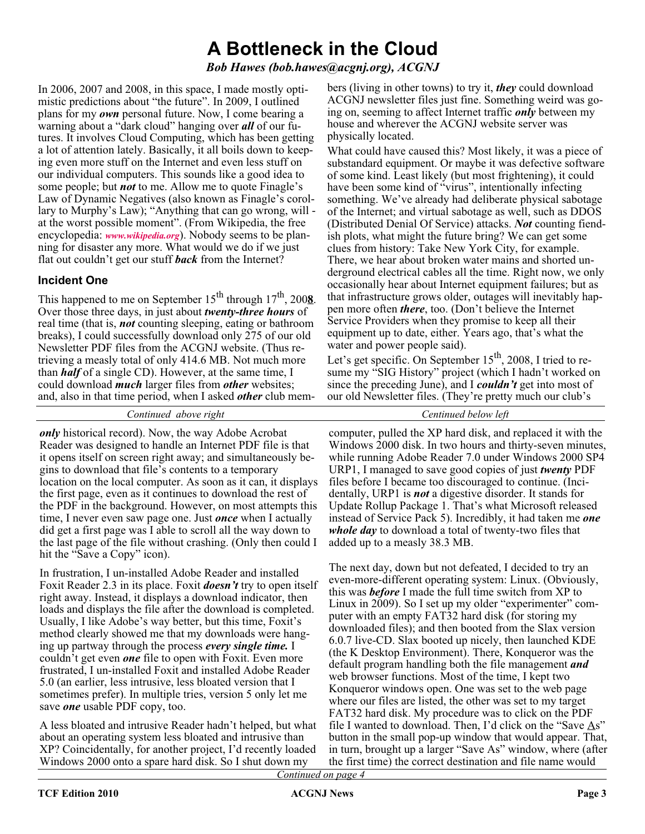### **A Bottleneck in the Cloud**

*Bob Hawes (bob.hawes@acgnj.org), ACGNJ*

In 2006, 2007 and 2008, in this space, I made mostly optimistic predictions about "the future". In 2009, I outlined plans for my *own* personal future. Now, I come bearing a warning about a "dark cloud" hanging over *all* of our futures. It involves Cloud Computing, which has been getting a lot of attention lately. Basically, it all boils down to keeping even more stuff on the Internet and even less stuff on our individual computers. This sounds like a good idea to some people; but *not* to me. Allow me to quote Finagle's Law of Dynamic Negatives (also known as Finagle's corollary to Murphy's Law); "Anything that can go wrong, will at the worst possible moment". (From Wikipedia, the free encyclopedia: *[www.wikipedia.org](http://www.wikipedia.org)*). Nobody seems to be planning for disaster any more. What would we do if we just flat out couldn't get our stuff *back* from the Internet?

#### **Incident One**

This happened to me on September  $15^{th}$  through  $17^{th}$ , 200**8**. Over those three days, in just about *twenty-three hours* of real time (that is, *not* counting sleeping, eating or bathroom breaks), I could successfully download only 275 of our old Newsletter PDF files from the ACGNJ website. (Thus retrieving a measly total of only 414.6 MB. Not much more than *half* of a single CD). However, at the same time, I could download *much* larger files from *other* websites; and, also in that time period, when I asked *other* club mem-

*Continued above right Centinued below left*

*only* historical record). Now, the way Adobe Acrobat Reader was designed to handle an Internet PDF file is that it opens itself on screen right away; and simultaneously begins to download that file's contents to a temporary location on the local computer. As soon as it can, it displays the first page, even as it continues to download the rest of the PDF in the background. However, on most attempts this time, I never even saw page one. Just *once* when I actually did get a first page was I able to scroll all the way down to the last page of the file without crashing. (Only then could I hit the "Save a Copy" icon).

In frustration, I un-installed Adobe Reader and installed Foxit Reader 2.3 in its place. Foxit *doesn't* try to open itself right away. Instead, it displays a download indicator, then loads and displays the file after the download is completed. Usually, I like Adobe's way better, but this time, Foxit's method clearly showed me that my downloads were hanging up partway through the process *every single time.* I couldn't get even *one* file to open with Foxit. Even more frustrated, I un-installed Foxit and installed Adobe Reader 5.0 (an earlier, less intrusive, less bloated version that I sometimes prefer). In multiple tries, version 5 only let me save *one* usable PDF copy, too.

A less bloated and intrusive Reader hadn't helped, but what about an operating system less bloated and intrusive than XP? Coincidentally, for another project, I'd recently loaded Windows 2000 onto a spare hard disk. So I shut down my

bers (living in other towns) to try it, *they* could download ACGNJ newsletter files just fine. Something weird was going on, seeming to affect Internet traffic *only* between my house and wherever the ACGNJ website server was physically located.

What could have caused this? Most likely, it was a piece of substandard equipment. Or maybe it was defective software of some kind. Least likely (but most frightening), it could have been some kind of "virus", intentionally infecting something. We've already had deliberate physical sabotage of the Internet; and virtual sabotage as well, such as DDOS (Distributed Denial Of Service) attacks. *Not* counting fiendish plots, what might the future bring? We can get some clues from history: Take New York City, for example. There, we hear about broken water mains and shorted underground electrical cables all the time. Right now, we only occasionally hear about Internet equipment failures; but as that infrastructure grows older, outages will inevitably happen more often *there*, too. (Don't believe the Internet Service Providers when they promise to keep all their equipment up to date, either. Years ago, that's what the water and power people said).

Let's get specific. On September 15<sup>th</sup>, 2008, I tried to resume my "SIG History" project (which I hadn't worked on since the preceding June), and I *couldn't* get into most of our old Newsletter files. (They're pretty much our club's

computer, pulled the XP hard disk, and replaced it with the Windows 2000 disk. In two hours and thirty-seven minutes, while running Adobe Reader 7.0 under Windows 2000 SP4 URP1, I managed to save good copies of just *twenty* PDF files before I became too discouraged to continue. (Incidentally, URP1 is *not* a digestive disorder. It stands for Update Rollup Package 1. That's what Microsoft released instead of Service Pack 5). Incredibly, it had taken me *one whole day* to download a total of twenty-two files that added up to a measly 38.3 MB.

The next day, down but not defeated, I decided to try an even-more-different operating system: Linux. (Obviously, this was *before* I made the full time switch from XP to Linux in 2009). So I set up my older "experimenter" computer with an empty FAT32 hard disk (for storing my downloaded files); and then booted from the Slax version 6.0.7 live-CD. Slax booted up nicely, then launched KDE (the K Desktop Environment). There, Konqueror was the default program handling both the file management *and* web browser functions. Most of the time, I kept two Konqueror windows open. One was set to the web page where our files are listed, the other was set to my target FAT32 hard disk. My procedure was to click on the PDF file I wanted to download. Then, I'd click on the "Save As" button in the small pop-up window that would appear. That, in turn, brought up a larger "Save As" window, where (after the first time) the correct destination and file name would

*Continued on page 4*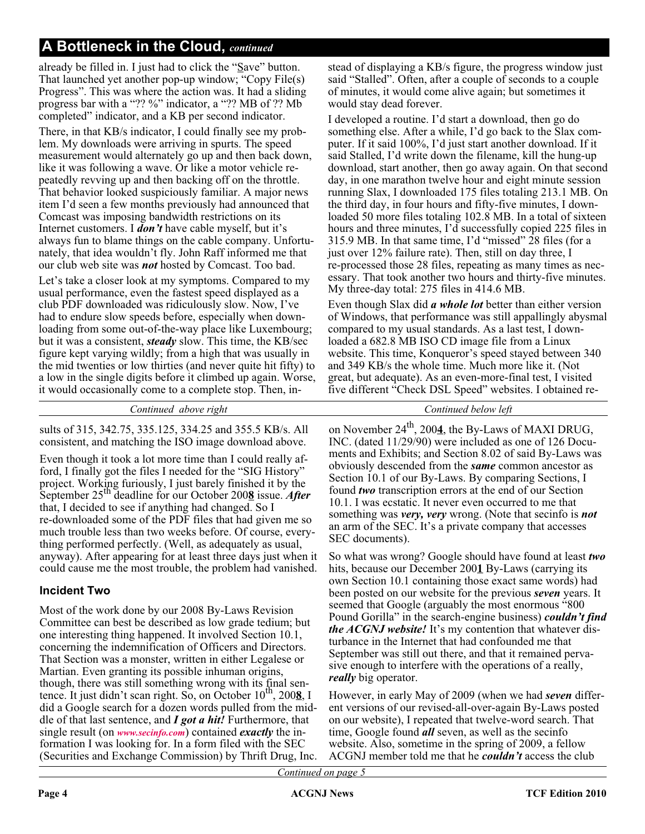### **A Bottleneck in the Cloud,** *continued*

already be filled in. I just had to click the " $S$ ave" button. That launched yet another pop-up window; "Copy File(s) Progress". This was where the action was. It had a sliding progress bar with a "?? %" indicator, a "?? MB of ?? Mb completed" indicator, and a KB per second indicator.

There, in that KB/s indicator, I could finally see my problem. My downloads were arriving in spurts. The speed measurement would alternately go up and then back down, like it was following a wave. Or like a motor vehicle repeatedly revving up and then backing off on the throttle. That behavior looked suspiciously familiar. A major news item I'd seen a few months previously had announced that Comcast was imposing bandwidth restrictions on its Internet customers. I *don't* have cable myself, but it's always fun to blame things on the cable company. Unfortunately, that idea wouldn't fly. John Raff informed me that our club web site was *not* hosted by Comcast. Too bad.

Let's take a closer look at my symptoms. Compared to my usual performance, even the fastest speed displayed as a club PDF downloaded was ridiculously slow. Now, I've had to endure slow speeds before, especially when downloading from some out-of-the-way place like Luxembourg; but it was a consistent, *steady* slow. This time, the KB/sec figure kept varying wildly; from a high that was usually in the mid twenties or low thirties (and never quite hit fifty) to a low in the single digits before it climbed up again. Worse, it would occasionally come to a complete stop. Then, instead of displaying a KB/s figure, the progress window just said "Stalled". Often, after a couple of seconds to a couple of minutes, it would come alive again; but sometimes it would stay dead forever.

I developed a routine. I'd start a download, then go do something else. After a while, I'd go back to the Slax computer. If it said 100%, I'd just start another download. If it said Stalled, I'd write down the filename, kill the hung-up download, start another, then go away again. On that second day, in one marathon twelve hour and eight minute session running Slax, I downloaded 175 files totaling 213.1 MB. On the third day, in four hours and fifty-five minutes, I downloaded 50 more files totaling 102.8 MB. In a total of sixteen hours and three minutes, I'd successfully copied 225 files in 315.9 MB. In that same time, I'd "missed" 28 files (for a just over 12% failure rate). Then, still on day three, I re-processed those 28 files, repeating as many times as necessary. That took another two hours and thirty-five minutes. My three-day total: 275 files in 414.6 MB.

Even though Slax did *a whole lot* better than either version of Windows, that performance was still appallingly abysmal compared to my usual standards. As a last test, I downloaded a 682.8 MB ISO CD image file from a Linux website. This time, Konqueror's speed stayed between 340 and 349 KB/s the whole time. Much more like it. (Not great, but adequate). As an even-more-final test, I visited five different "Check DSL Speed" websites. I obtained re-

| Continued above right                                     | Continued below left                                    |
|-----------------------------------------------------------|---------------------------------------------------------|
| sults of 315, 342.75, 335.125, 334.25 and 355.5 KB/s. All | on November $24^{th}$ , 2004, the By-Laws of MAXI DRUG, |
| consistent, and matching the ISO image download above.    | INC. (dated 11/29/90) were included as one of 126 Docu  |

Even though it took a lot more time than I could really afford, I finally got the files I needed for the "SIG History" project. Working furiously, I just barely finished it by the September 25th deadline for our October 200**8** issue. *After* that, I decided to see if anything had changed. So I re-downloaded some of the PDF files that had given me so much trouble less than two weeks before. Of course, everything performed perfectly. (Well, as adequately as usual, anyway). After appearing for at least three days just when it could cause me the most trouble, the problem had vanished.

#### **Incident Two**

Most of the work done by our 2008 By-Laws Revision Committee can best be described as low grade tedium; but one interesting thing happened. It involved Section 10.1, concerning the indemnification of Officers and Directors. That Section was a monster, written in either Legalese or Martian. Even granting its possible inhuman origins, though, there was still something wrong with its final sentence. It just didn't scan right. So, on October 10<sup>th</sup>, 2008, I did a Google search for a dozen words pulled from the middle of that last sentence, and *I got a hit!* Furthermore, that single result (on *[www.secinfo.com](http://www.secinfo.com)*) contained *exactly* the information I was looking for. In a form filed with the SEC (Securities and Exchange Commission) by Thrift Drug, Inc.

26 Documents and Exhibits; and Section 8.02 of said By-Laws was obviously descended from the *same* common ancestor as Section 10.1 of our By-Laws. By comparing Sections, I found *two* transcription errors at the end of our Section 10.1. I was ecstatic. It never even occurred to me that something was *very, very* wrong. (Note that secinfo is *not* an arm of the SEC. It's a private company that accesses SEC documents).

So what was wrong? Google should have found at least *two* hits, because our December 200**1** By-Laws (carrying its own Section 10.1 containing those exact same words) had been posted on our website for the previous *seven* years. It seemed that Google (arguably the most enormous "800 Pound Gorilla" in the search-engine business) *couldn't find the ACGNJ website!* It's my contention that whatever disturbance in the Internet that had confounded me that September was still out there, and that it remained pervasive enough to interfere with the operations of a really, *really* big operator.

However, in early May of 2009 (when we had *seven* different versions of our revised-all-over-again By-Laws posted on our website), I repeated that twelve-word search. That time, Google found *all* seven, as well as the secinfo website. Also, sometime in the spring of 2009, a fellow ACGNJ member told me that he *couldn't* access the club

*Continued on page 5*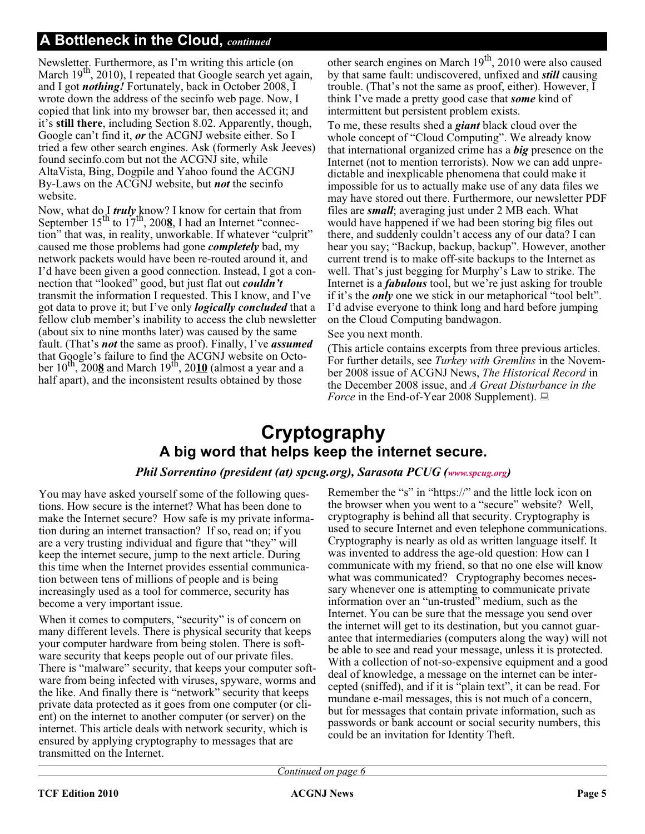#### **A Bottleneck in the Cloud,** *continued*

Newsletter. Furthermore, as I'm writing this article (on March 19<sup>th</sup>, 2010), I repeated that Google search yet again, and I got *nothing!* Fortunately, back in October 2008, I wrote down the address of the secinfo web page. Now, I copied that link into my browser bar, then accessed it; and it's **still there**, including Section 8.02. Apparently, though, Google can't find it, *or* the ACGNJ website either. So I tried a few other search engines. Ask (formerly Ask Jeeves) found secinfo.com but not the ACGNJ site, while AltaVista, Bing, Dogpile and Yahoo found the ACGNJ By-Laws on the ACGNJ website, but *not* the secinfo website.

Now, what do I *truly* know? I know for certain that from<br>September 15<sup>th</sup> to 17<sup>th</sup>, 200<u>8</u>, I had an Internet "connection" that was, in reality, unworkable. If whatever "culprit" caused me those problems had gone *completely* bad, my network packets would have been re-routed around it, and I'd have been given a good connection. Instead, I got a connection that "looked" good, but just flat out *couldn't* transmit the information I requested. This I know, and I've got data to prove it; but I've only *logically concluded* that a fellow club member's inability to access the club newsletter (about six to nine months later) was caused by the same fault. (That's *not* the same as proof). Finally, I've *assumed* that Google's failure to find the ACGNJ website on October 10<sup>th</sup>, 200**8** and March 19<sup>th</sup>, 2010 (almost a year and a half apart), and the inconsistent results obtained by those

other search engines on March  $19<sup>th</sup>$ , 2010 were also caused by that same fault: undiscovered, unfixed and *still* causing trouble. (That's not the same as proof, either). However, I think I've made a pretty good case that *some* kind of intermittent but persistent problem exists.

To me, these results shed a *giant* black cloud over the whole concept of "Cloud Computing". We already know that international organized crime has a *big* presence on the Internet (not to mention terrorists). Now we can add unpredictable and inexplicable phenomena that could make it impossible for us to actually make use of any data files we may have stored out there. Furthermore, our newsletter PDF files are *small*; averaging just under 2 MB each. What would have happened if we had been storing big files out there, and suddenly couldn't access any of our data? I can hear you say; "Backup, backup, backup". However, another current trend is to make off-site backups to the Internet as well. That's just begging for Murphy's Law to strike. The Internet is a *fabulous* tool, but we're just asking for trouble if it's the *only* one we stick in our metaphorical "tool belt". I'd advise everyone to think long and hard before jumping on the Cloud Computing bandwagon.

#### See you next month.

(This article contains excerpts from three previous articles. For further details, see *Turkey with Gremlins* in the November 2008 issue of ACGNJ News, *The Historical Record* in the December 2008 issue, and *A Great Disturbance in the Force* in the End-of-Year 2008 Supplement).

### **Cryptography A big word that helps keep the internet secure.**

#### *Phil Sorrentino (president (at) spcug.org), Sarasota PCUG [\(www.spcug.org](http://www.spcug.org))*

You may have asked yourself some of the following questions. How secure is the internet? What has been done to make the Internet secure? How safe is my private information during an internet transaction? If so, read on; if you are a very trusting individual and figure that "they" will keep the internet secure, jump to the next article. During this time when the Internet provides essential communication between tens of millions of people and is being increasingly used as a tool for commerce, security has become a very important issue.

When it comes to computers, "security" is of concern on many different levels. There is physical security that keeps your computer hardware from being stolen. There is software security that keeps people out of our private files. There is "malware" security, that keeps your computer software from being infected with viruses, spyware, worms and the like. And finally there is "network" security that keeps private data protected as it goes from one computer (or client) on the internet to another computer (or server) on the internet. This article deals with network security, which is ensured by applying cryptography to messages that are transmitted on the Internet.

Remember the "s" in "https://" and the little lock icon on the browser when you went to a "secure" website? Well, cryptography is behind all that security. Cryptography is used to secure Internet and even telephone communications. Cryptography is nearly as old as written language itself. It was invented to address the age-old question: How can I communicate with my friend, so that no one else will know what was communicated? Cryptography becomes necessary whenever one is attempting to communicate private information over an "un-trusted" medium, such as the Internet. You can be sure that the message you send over the internet will get to its destination, but you cannot guarantee that intermediaries (computers along the way) will not be able to see and read your message, unless it is protected. With a collection of not-so-expensive equipment and a good deal of knowledge, a message on the internet can be intercepted (sniffed), and if it is "plain text", it can be read. For mundane e-mail messages, this is not much of a concern, but for messages that contain private information, such as passwords or bank account or social security numbers, this could be an invitation for Identity Theft.

*Continued on page 6*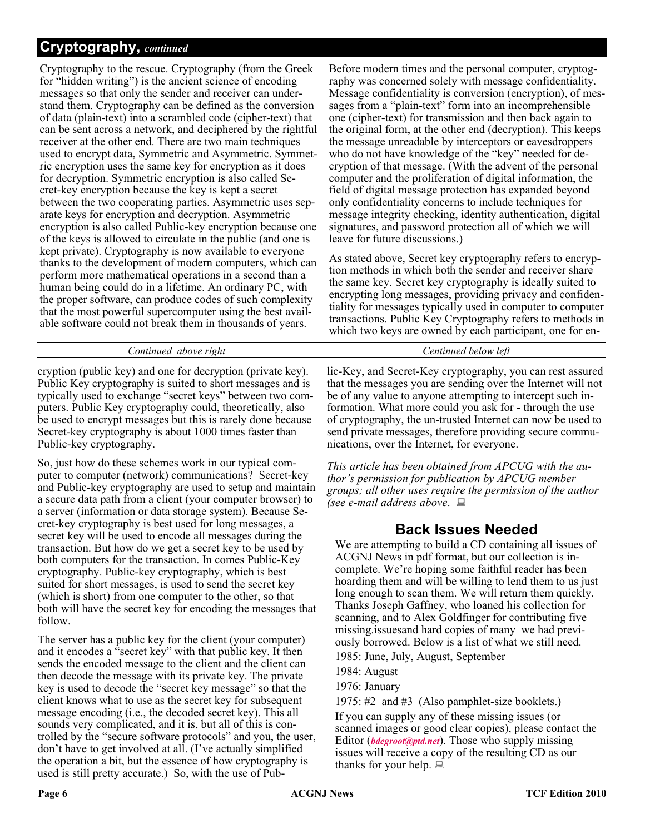### **Cryptography,** *continued*

Cryptography to the rescue. Cryptography (from the Greek for "hidden writing") is the ancient science of encoding messages so that only the sender and receiver can understand them. Cryptography can be defined as the conversion of data (plain-text) into a scrambled code (cipher-text) that can be sent across a network, and deciphered by the rightful receiver at the other end. There are two main techniques used to encrypt data, Symmetric and Asymmetric. Symmetric encryption uses the same key for encryption as it does for decryption. Symmetric encryption is also called Secret-key encryption because the key is kept a secret between the two cooperating parties. Asymmetric uses separate keys for encryption and decryption. Asymmetric encryption is also called Public-key encryption because one of the keys is allowed to circulate in the public (and one is kept private). Cryptography is now available to everyone thanks to the development of modern computers, which can perform more mathematical operations in a second than a human being could do in a lifetime. An ordinary PC, with the proper software, can produce codes of such complexity that the most powerful supercomputer using the best available software could not break them in thousands of years.

#### *Continued above right Centinued below left*

cryption (public key) and one for decryption (private key). Public Key cryptography is suited to short messages and is typically used to exchange "secret keys" between two computers. Public Key cryptography could, theoretically, also be used to encrypt messages but this is rarely done because Secret-key cryptography is about 1000 times faster than Public-key cryptography.

So, just how do these schemes work in our typical computer to computer (network) communications? Secret-key and Public-key cryptography are used to setup and maintain a secure data path from a client (your computer browser) to a server (information or data storage system). Because Secret-key cryptography is best used for long messages, a secret key will be used to encode all messages during the transaction. But how do we get a secret key to be used by both computers for the transaction. In comes Public-Key cryptography. Public-key cryptography, which is best suited for short messages, is used to send the secret key (which is short) from one computer to the other, so that both will have the secret key for encoding the messages that follow.

The server has a public key for the client (your computer) and it encodes a "secret key" with that public key. It then sends the encoded message to the client and the client can then decode the message with its private key. The private key is used to decode the "secret key message" so that the client knows what to use as the secret key for subsequent message encoding (i.e., the decoded secret key). This all sounds very complicated, and it is, but all of this is controlled by the "secure software protocols" and you, the user, don't have to get involved at all. (I've actually simplified the operation a bit, but the essence of how cryptography is used is still pretty accurate.) So, with the use of PubBefore modern times and the personal computer, cryptography was concerned solely with message confidentiality. Message confidentiality is conversion (encryption), of messages from a "plain-text" form into an incomprehensible one (cipher-text) for transmission and then back again to the original form, at the other end (decryption). This keeps the message unreadable by interceptors or eavesdroppers who do not have knowledge of the "key" needed for decryption of that message. (With the advent of the personal computer and the proliferation of digital information, the field of digital message protection has expanded beyond only confidentiality concerns to include techniques for message integrity checking, identity authentication, digital signatures, and password protection all of which we will leave for future discussions.)

As stated above, Secret key cryptography refers to encryption methods in which both the sender and receiver share the same key. Secret key cryptography is ideally suited to encrypting long messages, providing privacy and confidentiality for messages typically used in computer to computer transactions. Public Key Cryptography refers to methods in which two keys are owned by each participant, one for en-

lic-Key, and Secret-Key cryptography, you can rest assured that the messages you are sending over the Internet will not be of any value to anyone attempting to intercept such information. What more could you ask for - through the use of cryptography, the un-trusted Internet can now be used to send private messages, therefore providing secure communications, over the Internet, for everyone.

*This article has been obtained from APCUG with the author's permission for publication by APCUG member groups; all other uses require the permission of the author (see e-mail address above*.

### **Back Issues Needed**

We are attempting to build a CD containing all issues of ACGNJ News in pdf format, but our collection is incomplete. We're hoping some faithful reader has been hoarding them and will be willing to lend them to us just long enough to scan them. We will return them quickly. Thanks Joseph Gaffney, who loaned his collection for scanning, and to Alex Goldfinger for contributing five missing.issuesand hard copies of many we had previously borrowed. Below is a list of what we still need.

1985: June, July, August, September

1984: August

1976: January

1975: #2 and #3 (Also pamphlet-size booklets.)

If you can supply any of these missing issues (or scanned images or good clear copies), please contact the Editor (*[bdegroot@ptd.net](mailto:bdegroot@ptd.net)*). Those who supply missing issues will receive a copy of the resulting CD as our thanks for your help.  $\Box$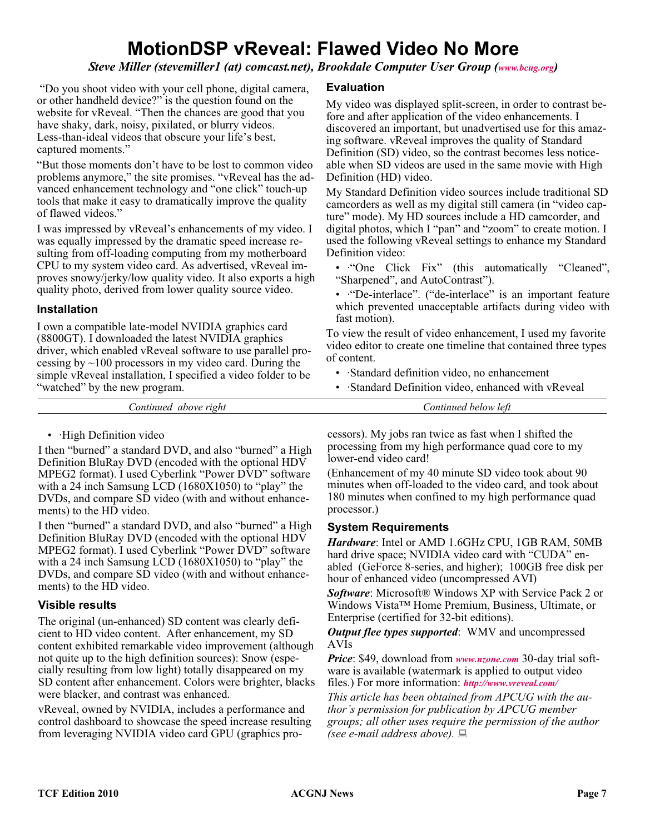### **MotionDSP vReveal: Flawed Video No More**

*Steve Miller (stevemiller1 (at) comcast.net), Brookdale Computer User Group [\(www.bcug.org\)](http://www.bcug.org)* 

"Do you shoot video with your cell phone, digital camera, or other handheld device?" is the question found on the website for vReveal. "Then the chances are good that you have shaky, dark, noisy, pixilated, or blurry videos. Less-than-ideal videos that obscure your life's best, captured moments."

"But those moments don't have to be lost to common video problems anymore," the site promises. "vReveal has the advanced enhancement technology and "one click" touch-up tools that make it easy to dramatically improve the quality of flawed videos."

I was impressed by vReveal's enhancements of my video. I was equally impressed by the dramatic speed increase resulting from off-loading computing from my motherboard CPU to my system video card. As advertised, vReveal improves snowy/jerky/low quality video. It also exports a high quality photo, derived from lower quality source video.

#### **Installation**

I own a compatible late-model NVIDIA graphics card (8800GT). I downloaded the latest NVIDIA graphics driver, which enabled vReveal software to use parallel processing by  $\sim$ 100 processors in my video card. During the simple vReveal installation, I specified a video folder to be "watched" by the new program.

#### **Evaluation**

My video was displayed split-screen, in order to contrast before and after application of the video enhancements. I discovered an important, but unadvertised use for this amazing software. vReveal improves the quality of Standard Definition (SD) video, so the contrast becomes less noticeable when SD videos are used in the same movie with High Definition (HD) video.

My Standard Definition video sources include traditional SD camcorders as well as my digital still camera (in "video capture" mode). My HD sources include a HD camcorder, and digital photos, which I "pan" and "zoom" to create motion. I used the following vReveal settings to enhance my Standard Definition video:

- ·"One Click Fix" (this automatically "Cleaned", "Sharpened", and AutoContrast").
- ·"De-interlace". ("de-interlace" is an important feature which prevented unacceptable artifacts during video with fast motion).

To view the result of video enhancement, I used my favorite video editor to create one timeline that contained three types of content.

- ·Standard definition video, no enhancement
- ·Standard Definition video, enhanced with vReveal

*Continued above right Continued below left*

#### • High Definition video

I then "burned" a standard DVD, and also "burned" a High Definition BluRay DVD (encoded with the optional HDV MPEG2 format). I used Cyberlink "Power DVD" software with a 24 inch Samsung LCD (1680X1050) to "play" the DVDs, and compare SD video (with and without enhancements) to the HD video.

I then "burned" a standard DVD, and also "burned" a High Definition BluRay DVD (encoded with the optional HDV MPEG2 format). I used Cyberlink "Power DVD" software with a 24 inch Samsung LCD (1680X1050) to "play" the DVDs, and compare SD video (with and without enhancements) to the HD video.

#### **Visible results**

The original (un-enhanced) SD content was clearly deficient to HD video content. After enhancement, my SD content exhibited remarkable video improvement (although not quite up to the high definition sources): Snow (especially resulting from low light) totally disappeared on my SD content after enhancement. Colors were brighter, blacks were blacker, and contrast was enhanced.

vReveal, owned by NVIDIA, includes a performance and control dashboard to showcase the speed increase resulting from leveraging NVIDIA video card GPU (graphics processors). My jobs ran twice as fast when I shifted the processing from my high performance quad core to my lower-end video card!

(Enhancement of my 40 minute SD video took about 90 minutes when off-loaded to the video card, and took about 180 minutes when confined to my high performance quad processor.)

#### **System Requirements**

*Hardware*: Intel or AMD 1.6GHz CPU, 1GB RAM, 50MB hard drive space; NVIDIA video card with "CUDA" enabled (GeForce 8-series, and higher); 100GB free disk per hour of enhanced video (uncompressed AVI)

*Software*: Microsoft® Windows XP with Service Pack 2 or Windows Vista™ Home Premium, Business, Ultimate, or Enterprise (certified for 32-bit editions).

*Output flee types supported*: WMV and uncompressed AVIs

*Price*: \$49, download from *[www.nzone.com](http://www.nzone.com)* 30-day trial software is available (watermark is applied to output video files.) For more information: *<http://www.vreveal.com/>*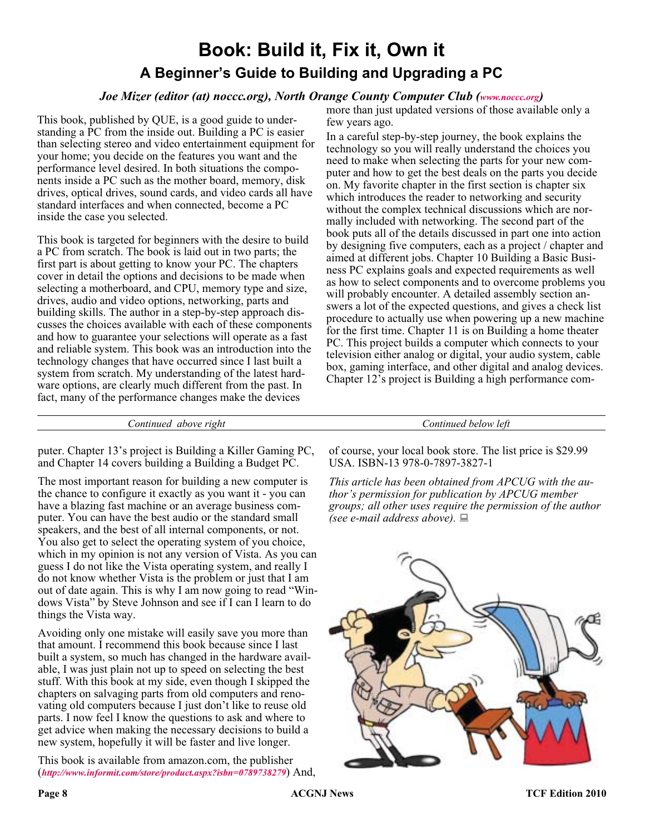### **Book: Build it, Fix it, Own it A Beginner's Guide to Building and Upgrading a PC**

#### *Joe Mizer (editor (at) noccc.org), North Orange County Computer Club ([www.noccc.org](http://www.noccc.org))*

more than just updated versions of those available only a few years ago.

This book, published by QUE, is a good guide to understanding a PC from the inside out. Building a PC is easier than selecting stereo and video entertainment equipment for your home; you decide on the features you want and the performance level desired. In both situations the components inside a PC such as the mother board, memory, disk drives, optical drives, sound cards, and video cards all have standard interfaces and when connected, become a PC inside the case you selected.

This book is targeted for beginners with the desire to build a PC from scratch. The book is laid out in two parts; the first part is about getting to know your PC. The chapters cover in detail the options and decisions to be made when selecting a motherboard, and CPU, memory type and size, drives, audio and video options, networking, parts and building skills. The author in a step-by-step approach discusses the choices available with each of these components and how to guarantee your selections will operate as a fast and reliable system. This book was an introduction into the technology changes that have occurred since I last built a system from scratch. My understanding of the latest hardware options, are clearly much different from the past. In fact, many of the performance changes make the devices

In a careful step-by-step journey, the book explains the technology so you will really understand the choices you need to make when selecting the parts for your new computer and how to get the best deals on the parts you decide on. My favorite chapter in the first section is chapter six which introduces the reader to networking and security without the complex technical discussions which are normally included with networking. The second part of the book puts all of the details discussed in part one into action by designing five computers, each as a project / chapter and aimed at different jobs. Chapter 10 Building a Basic Business PC explains goals and expected requirements as well as how to select components and to overcome problems you will probably encounter. A detailed assembly section answers a lot of the expected questions, and gives a check list procedure to actually use when powering up a new machine for the first time. Chapter 11 is on Building a home theater PC. This project builds a computer which connects to your television either analog or digital, your audio system, cable box, gaming interface, and other digital and analog devices. Chapter 12's project is Building a high performance com-

*Continued above right Continued below left*

puter. Chapter 13's project is Building a Killer Gaming PC, and Chapter 14 covers building a Building a Budget PC.

The most important reason for building a new computer is the chance to configure it exactly as you want it - you can have a blazing fast machine or an average business computer. You can have the best audio or the standard small speakers, and the best of all internal components, or not. You also get to select the operating system of you choice, which in my opinion is not any version of Vista. As you can guess I do not like the Vista operating system, and really I do not know whether Vista is the problem or just that I am out of date again. This is why I am now going to read "Windows Vista" by Steve Johnson and see if I can I learn to do things the Vista way.

Avoiding only one mistake will easily save you more than that amount. I recommend this book because since I last built a system, so much has changed in the hardware available, I was just plain not up to speed on selecting the best stuff. With this book at my side, even though I skipped the chapters on salvaging parts from old computers and renovating old computers because I just don't like to reuse old parts. I now feel I know the questions to ask and where to get advice when making the necessary decisions to build a new system, hopefully it will be faster and live longer.

This book is available from amazon.com, the publisher (*<http://www.informit.com/store/product.aspx?isbn=0789738279>*) And,

of course, your local book store. The list price is \$29.99 USA. ISBN-13 978-0-7897-3827-1

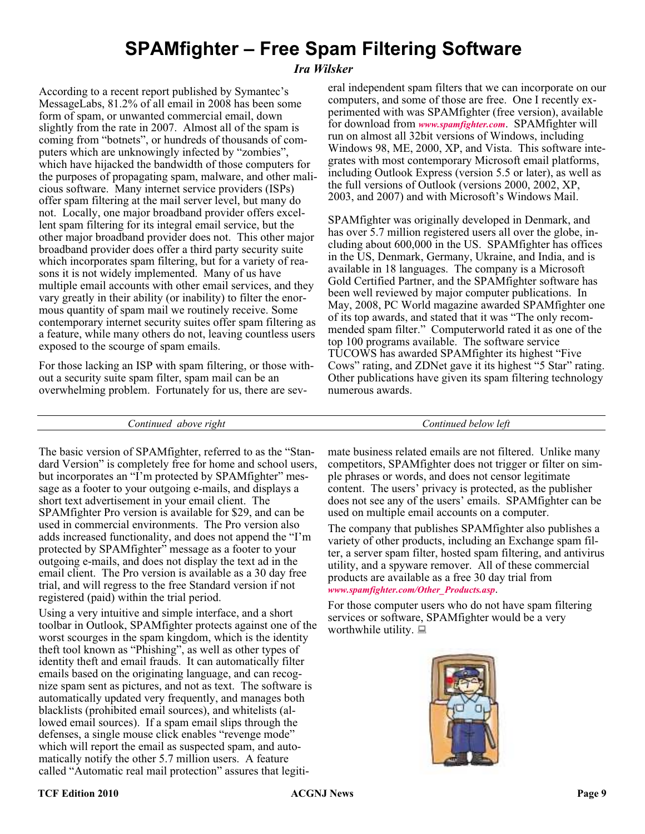### **SPAMfighter – Free Spam Filtering Software**

#### *Ira Wilsker*

According to a recent report published by Symantec's MessageLabs, 81.2% of all email in 2008 has been some form of spam, or unwanted commercial email, down slightly from the rate in 2007. Almost all of the spam is coming from "botnets", or hundreds of thousands of computers which are unknowingly infected by "zombies", which have hijacked the bandwidth of those computers for the purposes of propagating spam, malware, and other malicious software. Many internet service providers (ISPs) offer spam filtering at the mail server level, but many do not. Locally, one major broadband provider offers excellent spam filtering for its integral email service, but the other major broadband provider does not. This other major broadband provider does offer a third party security suite which incorporates spam filtering, but for a variety of reasons it is not widely implemented. Many of us have multiple email accounts with other email services, and they vary greatly in their ability (or inability) to filter the enormous quantity of spam mail we routinely receive. Some contemporary internet security suites offer spam filtering as a feature, while many others do not, leaving countless users exposed to the scourge of spam emails.

For those lacking an ISP with spam filtering, or those without a security suite spam filter, spam mail can be an overwhelming problem. Fortunately for us, there are sev-

eral independent spam filters that we can incorporate on our computers, and some of those are free. One I recently experimented with was SPAMfighter (free version), available for download from *[www.spamfighter.com](http://www.spamfighter.com)*. SPAMfighter will run on almost all 32bit versions of Windows, including Windows 98, ME, 2000, XP, and Vista. This software integrates with most contemporary Microsoft email platforms, including Outlook Express (version 5.5 or later), as well as the full versions of Outlook (versions 2000, 2002, XP, 2003, and 2007) and with Microsoft's Windows Mail.

SPAMfighter was originally developed in Denmark, and has over 5.7 million registered users all over the globe, including about 600,000 in the US. SPAMfighter has offices in the US, Denmark, Germany, Ukraine, and India, and is available in 18 languages. The company is a Microsoft Gold Certified Partner, and the SPAMfighter software has been well reviewed by major computer publications. In May, 2008, PC World magazine awarded SPAMfighter one of its top awards, and stated that it was "The only recommended spam filter." Computerworld rated it as one of the top 100 programs available. The software service TUCOWS has awarded SPAMfighter its highest "Five Cows" rating, and ZDNet gave it its highest "5 Star" rating. Other publications have given its spam filtering technology numerous awards.

*Continued above right Continued below left*

The basic version of SPAMfighter, referred to as the "Standard Version" is completely free for home and school users, but incorporates an "I'm protected by SPAMfighter" message as a footer to your outgoing e-mails, and displays a short text advertisement in your email client. The SPAMfighter Pro version is available for \$29, and can be used in commercial environments. The Pro version also adds increased functionality, and does not append the "I'm protected by SPAMfighter" message as a footer to your outgoing e-mails, and does not display the text ad in the email client. The Pro version is available as a 30 day free trial, and will regress to the free Standard version if not registered (paid) within the trial period.

Using a very intuitive and simple interface, and a short toolbar in Outlook, SPAMfighter protects against one of the worst scourges in the spam kingdom, which is the identity theft tool known as "Phishing", as well as other types of identity theft and email frauds. It can automatically filter emails based on the originating language, and can recognize spam sent as pictures, and not as text. The software is automatically updated very frequently, and manages both blacklists (prohibited email sources), and whitelists (allowed email sources). If a spam email slips through the defenses, a single mouse click enables "revenge mode" which will report the email as suspected spam, and automatically notify the other 5.7 million users. A feature called "Automatic real mail protection" assures that legiti-

mate business related emails are not filtered. Unlike many competitors, SPAMfighter does not trigger or filter on simple phrases or words, and does not censor legitimate content. The users' privacy is protected, as the publisher does not see any of the users' emails. SPAMfighter can be used on multiple email accounts on a computer.

The company that publishes SPAMfighter also publishes a variety of other products, including an Exchange spam filter, a server spam filter, hosted spam filtering, and antivirus utility, and a spyware remover. All of these commercial products are available as a free 30 day trial from *[www.spamfighter.com/Other\\_Products.asp](http://www.spamfighter.com/Other_Products.asp)*.

For those computer users who do not have spam filtering services or software, SPAMfighter would be a very worthwhile utility.  $\Box$ 

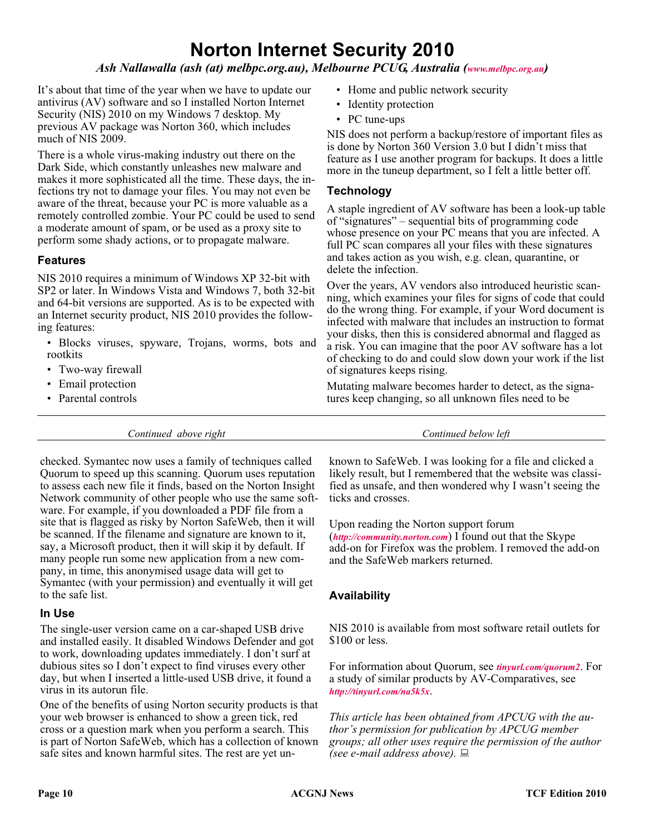### **Norton Internet Security 2010**

#### *Ash Nallawalla (ash (at) melbpc.org.au), Melbourne PCUG, Australia ([www.melbpc.org.au\)](http://www.melbpc.org.au)*

It's about that time of the year when we have to update our antivirus (AV) software and so I installed Norton Internet Security (NIS) 2010 on my Windows 7 desktop. My previous AV package was Norton 360, which includes much of NIS 2009.

There is a whole virus-making industry out there on the Dark Side, which constantly unleashes new malware and makes it more sophisticated all the time. These days, the infections try not to damage your files. You may not even be aware of the threat, because your PC is more valuable as a remotely controlled zombie. Your PC could be used to send a moderate amount of spam, or be used as a proxy site to perform some shady actions, or to propagate malware.

#### **Features**

NIS 2010 requires a minimum of Windows XP 32-bit with SP2 or later. In Windows Vista and Windows 7, both 32-bit and 64-bit versions are supported. As is to be expected with an Internet security product, NIS 2010 provides the following features:

- Blocks viruses, spyware, Trojans, worms, bots and rootkits
- Two-way firewall
- Email protection
- Parental controls

*Continued above right Continued below left*

checked. Symantec now uses a family of techniques called Quorum to speed up this scanning. Quorum uses reputation to assess each new file it finds, based on the Norton Insight Network community of other people who use the same software. For example, if you downloaded a PDF file from a site that is flagged as risky by Norton SafeWeb, then it will be scanned. If the filename and signature are known to it, say, a Microsoft product, then it will skip it by default. If many people run some new application from a new company, in time, this anonymised usage data will get to Symantec (with your permission) and eventually it will get to the safe list.

#### **In Use**

The single-user version came on a car-shaped USB drive and installed easily. It disabled Windows Defender and got to work, downloading updates immediately. I don't surf at dubious sites so I don't expect to find viruses every other day, but when I inserted a little-used USB drive, it found a virus in its autorun file.

One of the benefits of using Norton security products is that your web browser is enhanced to show a green tick, red cross or a question mark when you perform a search. This is part of Norton SafeWeb, which has a collection of known safe sites and known harmful sites. The rest are yet un-

- Home and public network security
- Identity protection
- PC tune-ups

NIS does not perform a backup/restore of important files as is done by Norton 360 Version 3.0 but I didn't miss that feature as I use another program for backups. It does a little more in the tuneup department, so I felt a little better off.

#### **Technology**

A staple ingredient of AV software has been a look-up table of "signatures" – sequential bits of programming code whose presence on your PC means that you are infected. A full PC scan compares all your files with these signatures and takes action as you wish, e.g. clean, quarantine, or delete the infection.

Over the years, AV vendors also introduced heuristic scanning, which examines your files for signs of code that could do the wrong thing. For example, if your Word document is infected with malware that includes an instruction to format your disks, then this is considered abnormal and flagged as a risk. You can imagine that the poor AV software has a lot of checking to do and could slow down your work if the list of signatures keeps rising.

Mutating malware becomes harder to detect, as the signatures keep changing, so all unknown files need to be

known to SafeWeb. I was looking for a file and clicked a likely result, but I remembered that the website was classified as unsafe, and then wondered why I wasn't seeing the ticks and crosses.

Upon reading the Norton support forum (*<http://community.norton.com>*) I found out that the Skype add-on for Firefox was the problem. I removed the add-on and the SafeWeb markers returned.

#### **Availability**

NIS 2010 is available from most software retail outlets for \$100 or less.

For information about Quorum, see *[tinyurl.com/quorum2](http://tinyurl.com/quorum2)*. For a study of similar products by AV-Comparatives, see *<http://tinyurl.com/na5k5x>*.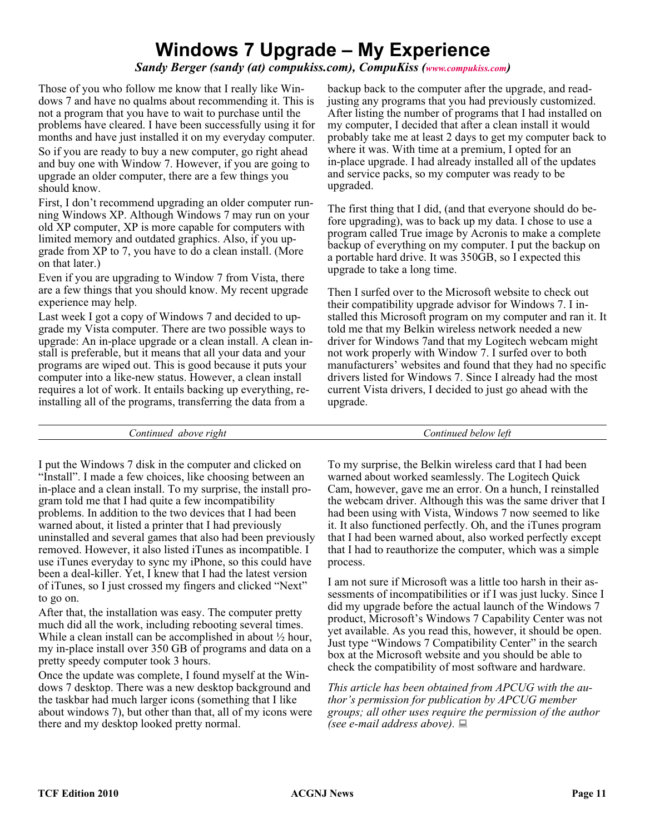### **Windows 7 Upgrade – My Experience**

*Sandy Berger (sandy (at) compukiss.com), CompuKiss [\(www.compukiss.com](http://www.compukiss.com))*

Those of you who follow me know that I really like Windows 7 and have no qualms about recommending it. This is not a program that you have to wait to purchase until the problems have cleared. I have been successfully using it for months and have just installed it on my everyday computer. So if you are ready to buy a new computer, go right ahead and buy one with Window 7. However, if you are going to upgrade an older computer, there are a few things you should know.

First, I don't recommend upgrading an older computer running Windows XP. Although Windows 7 may run on your old XP computer, XP is more capable for computers with limited memory and outdated graphics. Also, if you upgrade from XP to 7, you have to do a clean install. (More on that later.)

Even if you are upgrading to Window 7 from Vista, there are a few things that you should know. My recent upgrade experience may help.

Last week I got a copy of Windows 7 and decided to upgrade my Vista computer. There are two possible ways to upgrade: An in-place upgrade or a clean install. A clean install is preferable, but it means that all your data and your programs are wiped out. This is good because it puts your computer into a like-new status. However, a clean install requires a lot of work. It entails backing up everything, reinstalling all of the programs, transferring the data from a

backup back to the computer after the upgrade, and readjusting any programs that you had previously customized. After listing the number of programs that I had installed on my computer, I decided that after a clean install it would probably take me at least 2 days to get my computer back to where it was. With time at a premium, I opted for an in-place upgrade. I had already installed all of the updates and service packs, so my computer was ready to be upgraded.

The first thing that I did, (and that everyone should do before upgrading), was to back up my data. I chose to use a program called True image by Acronis to make a complete backup of everything on my computer. I put the backup on a portable hard drive. It was 350GB, so I expected this upgrade to take a long time.

Then I surfed over to the Microsoft website to check out their compatibility upgrade advisor for Windows 7. I installed this Microsoft program on my computer and ran it. It told me that my Belkin wireless network needed a new driver for Windows 7and that my Logitech webcam might not work properly with Window 7. I surfed over to both manufacturers' websites and found that they had no specific drivers listed for Windows 7. Since I already had the most current Vista drivers, I decided to just go ahead with the upgrade.

*Continued above right Continued below left*

I put the Windows 7 disk in the computer and clicked on "Install". I made a few choices, like choosing between an in-place and a clean install. To my surprise, the install program told me that I had quite a few incompatibility problems. In addition to the two devices that I had been warned about, it listed a printer that I had previously uninstalled and several games that also had been previously removed. However, it also listed iTunes as incompatible. I use iTunes everyday to sync my iPhone, so this could have been a deal-killer. Yet, I knew that I had the latest version of iTunes, so I just crossed my fingers and clicked "Next" to go on.

After that, the installation was easy. The computer pretty much did all the work, including rebooting several times. While a clean install can be accomplished in about  $\frac{1}{2}$  hour, my in-place install over 350 GB of programs and data on a pretty speedy computer took 3 hours.

Once the update was complete, I found myself at the Windows 7 desktop. There was a new desktop background and the taskbar had much larger icons (something that I like about windows 7), but other than that, all of my icons were there and my desktop looked pretty normal.

To my surprise, the Belkin wireless card that I had been warned about worked seamlessly. The Logitech Quick Cam, however, gave me an error. On a hunch, I reinstalled the webcam driver. Although this was the same driver that I had been using with Vista, Windows 7 now seemed to like it. It also functioned perfectly. Oh, and the iTunes program that I had been warned about, also worked perfectly except that I had to reauthorize the computer, which was a simple process.

I am not sure if Microsoft was a little too harsh in their assessments of incompatibilities or if I was just lucky. Since I did my upgrade before the actual launch of the Windows 7 product, Microsoft's Windows 7 Capability Center was not yet available. As you read this, however, it should be open. Just type "Windows 7 Compatibility Center" in the search box at the Microsoft website and you should be able to check the compatibility of most software and hardware.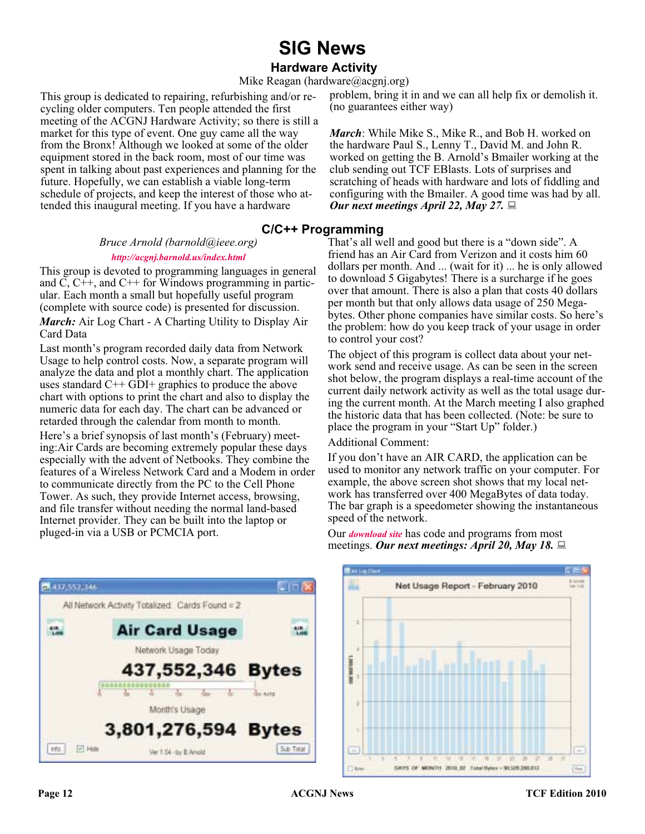### **SIG News**

#### **Hardware Activity**

Mike Reagan (hardware@acgnj.org)

This group is dedicated to repairing, refurbishing and/or recycling older computers. Ten people attended the first meeting of the ACGNJ Hardware Activity; so there is still a market for this type of event. One guy came all the way from the Bronx! Although we looked at some of the older equipment stored in the back room, most of our time was spent in talking about past experiences and planning for the future. Hopefully, we can establish a viable long-term schedule of projects, and keep the interest of those who attended this inaugural meeting. If you have a hardware

#### **C/C++ Programming**

*Bruce Arnold (barnold@ieee.org)*

#### *<http://acgnj.barnold.us/index.html>*

This group is devoted to programming languages in general and  $\dot{C}$ ,  $C++$ , and  $C++$  for Windows programming in particular. Each month a small but hopefully useful program

numeric data for each day. The chart can be advanced or retarded through the calendar from month to month.

Here's a brief synopsis of last month's (February) meeting:Air Cards are becoming extremely popular these days especially with the advent of Netbooks. They combine the features of a Wireless Network Card and a Modem in order to communicate directly from the PC to the Cell Phone Tower. As such, they provide Internet access, browsing, and file transfer without needing the normal land-based Internet provider. They can be built into the laptop or pluged-in via a USB or PCMCIA port.

(complete with source code) is presented for discussion. *March:* Air Log Chart - A Charting Utility to Display Air Card Data Last month's program recorded daily data from Network Usage to help control costs. Now, a separate program will analyze the data and plot a monthly chart. The application uses standard C++ GDI+ graphics to produce the above chart with options to print the chart and also to display the

> Additional Comment: If you don't have an AIR CARD, the application can be used to monitor any network traffic on your computer. For example, the above screen shot shows that my local net-

work has transferred over 400 MegaBytes of data today. The bar graph is a speedometer showing the instantaneous speed of the network.

Our *[download site](http://acgnj.barnold.us/Source/Index.htm)* has code and programs from most meetings. *Our next meetings: April 20, May 18.*





*March*: While Mike S., Mike R., and Bob H. worked on the hardware Paul S., Lenny T., David M. and John R. worked on getting the B. Arnold's Bmailer working at the club sending out TCF EBlasts. Lots of surprises and scratching of heads with hardware and lots of fiddling and configuring with the Bmailer. A good time was had by all. *Our next meetings April 22, May 27.*

That's all well and good but there is a "down side". A friend has an Air Card from Verizon and it costs him 60 dollars per month. And ... (wait for it) ... he is only allowed to download 5 Gigabytes! There is a surcharge if he goes over that amount. There is also a plan that costs 40 dollars per month but that only allows data usage of 250 Megabytes. Other phone companies have similar costs. So here's the problem: how do you keep track of your usage in order to control your cost?

The object of this program is collect data about your network send and receive usage. As can be seen in the screen shot below, the program displays a real-time account of the current daily network activity as well as the total usage during the current month. At the March meeting I also graphed the historic data that has been collected. (Note: be sure to place the program in your "Start Up" folder.)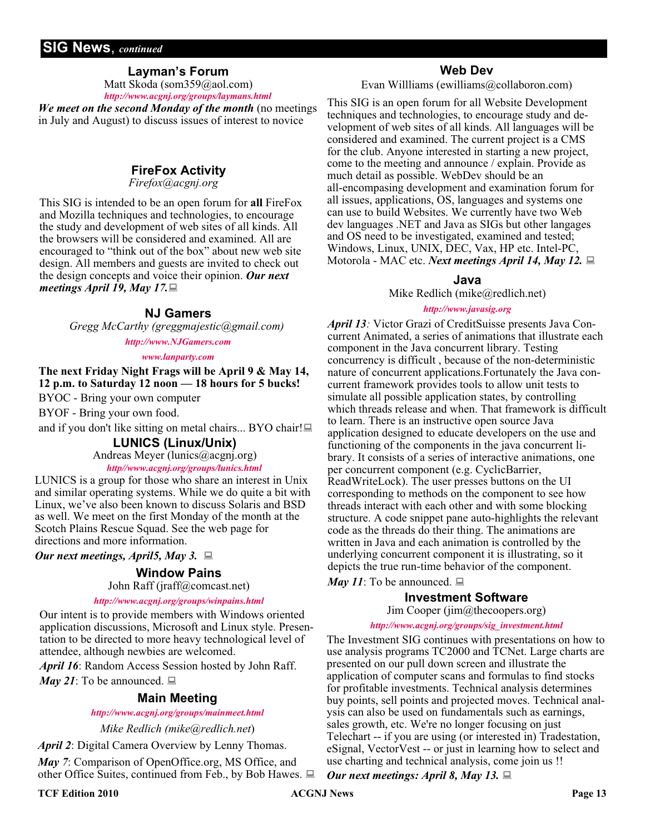#### **SIG News**, *continued*

#### **Layman's Forum**

Matt Skoda (som359@aol.com) *<http://www.acgnj.org/groups/laymans.html>*

*We meet on the second Monday of the month* (no meetings in July and August) to discuss issues of interest to novice

#### **FireFox Activity**

*Firefox@acgnj.org*

This SIG is intended to be an open forum for **all** FireFox and Mozilla techniques and technologies, to encourage the study and development of web sites of all kinds. All the browsers will be considered and examined. All are encouraged to "think out of the box" about new web site design. All members and guests are invited to check out the design concepts and voice their opinion. *Our next meetings April 19, May 17.*

#### **NJ Gamers**

*Gregg McCarthy (greggmajestic@gmail.com)*

*<http://www.NJGamers.com>*

#### *[www.lanparty.com](http://www.lanparty.com)*

**The next Friday Night Frags will be April 9 & May 14, 12 p.m. to Saturday 12 noon — 18 hours for 5 bucks!**

BYOC - Bring your own computer

BYOF - Bring your own food.

and if you don't like sitting on metal chairs... BYO chair!

#### **LUNICS (Linux/Unix)**

Andreas Meyer (lunics@acgnj.org)

#### *<http//www.acgnj.org/groups/lunics.html>*

LUNICS is a group for those who share an interest in Unix and similar operating systems. While we do quite a bit with Linux, we've also been known to discuss Solaris and BSD as well. We meet on the first Monday of the month at the Scotch Plains Rescue Squad. See the web page for directions and more information.

*Our next meetings, April5, May 3.*

#### **Window Pains**

John Raff (jraff@comcast.net)

#### *<http://www.acgnj.org/groups/winpains.html>*

Our intent is to provide members with Windows oriented application discussions, Microsoft and Linux style. Presentation to be directed to more heavy technological level of attendee, although newbies are welcomed.

*April 16*: Random Access Session hosted by John Raff.

*May 21*: To be announced.  $\Box$ 

#### **Main Meeting**

*<http://www.acgnj.org/groups/mainmeet.html>*

*Mike Redlich (mike@redlich.net*)

*April 2*: Digital Camera Overview by Lenny Thomas.

*May 7*: Comparison of OpenOffice.org, MS Office, and other Office Suites, continued from Feb., by Bob Hawes.  $\Box$ 

#### **Web Dev**

Evan Willliams (ewilliams@collaboron.com)

This SIG is an open forum for all Website Development techniques and technologies, to encourage study and development of web sites of all kinds. All languages will be considered and examined. The current project is a CMS for the club. Anyone interested in starting a new project, come to the meeting and announce / explain. Provide as much detail as possible. WebDev should be an all-encompasing development and examination forum for all issues, applications, OS, languages and systems one can use to build Websites. We currently have two Web dev languages .NET and Java as SIGs but other langages and OS need to be investigated, examined and tested; Windows, Linux, UNIX, DEC, Vax, HP etc. Intel-PC, Motorola - MAC etc. *Next meetings April 14, May 12.*

#### **Java**

Mike Redlich (mike@redlich.net)

#### *<http://www.javasig.org>*

*April 13:* Victor Grazi of CreditSuisse presents Java Concurrent Animated, a series of animations that illustrate each component in the Java concurrent library. Testing concurrency is difficult , because of the non-deterministic nature of concurrent applications.Fortunately the Java concurrent framework provides tools to allow unit tests to simulate all possible application states, by controlling which threads release and when. That framework is difficult to learn. There is an instructive open source Java application designed to educate developers on the use and functioning of the components in the java concurrent library. It consists of a series of interactive animations, one per concurrent component (e.g. CyclicBarrier, ReadWriteLock). The user presses buttons on the UI corresponding to methods on the component to see how threads interact with each other and with some blocking structure. A code snippet pane auto-highlights the relevant code as the threads do their thing. The animations are written in Java and each animation is controlled by the underlying concurrent component it is illustrating, so it depicts the true run-time behavior of the component.

#### *May 11*: To be announced.  $\Box$

#### **Investment Software**

Jim Cooper (jim@thecoopers.org)

#### *[http://www.acgnj.org/groups/sig\\_investment.html](http://www.acgnj.org/groups/sig_investment.html)*

The Investment SIG continues with presentations on how to use analysis programs TC2000 and TCNet. Large charts are presented on our pull down screen and illustrate the application of computer scans and formulas to find stocks for profitable investments. Technical analysis determines buy points, sell points and projected moves. Technical analysis can also be used on fundamentals such as earnings, sales growth, etc. We're no longer focusing on just Telechart -- if you are using (or interested in) Tradestation, eSignal, VectorVest -- or just in learning how to select and use charting and technical analysis, come join us !!

*Our next meetings: April 8, May 13.*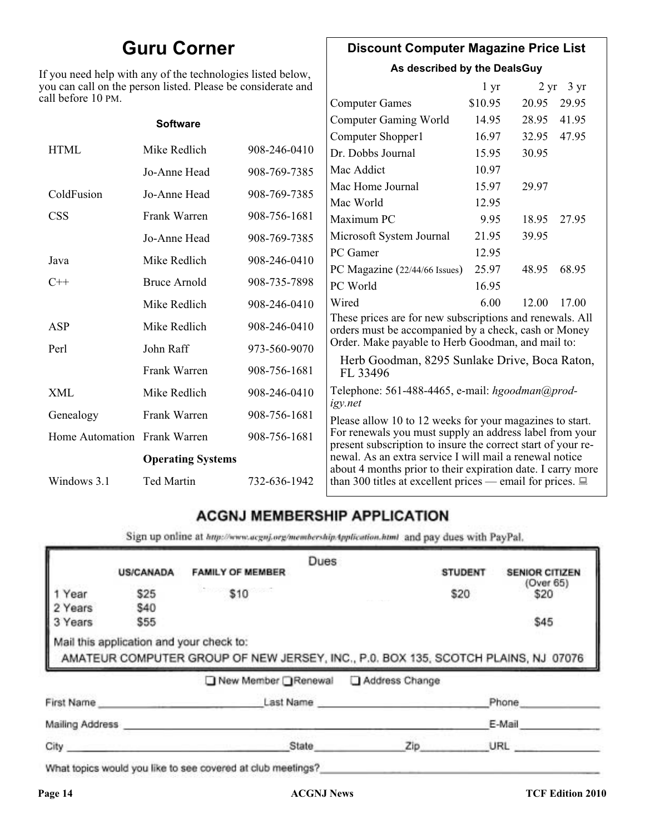### **Guru Corner**

If you need help with any of the technologies listed below, you can call on the person listed. Please be considerate and ca

#### **Discount Computer Magazine Price List**

**As described by the DealsGuy**

| ll before 10 PM.             | ou can call on the person listed. Please be considerate and |              |                                                                                                                         | 1 <sub>yr</sub> |       | $2 \text{ yr}$ 3 yr |
|------------------------------|-------------------------------------------------------------|--------------|-------------------------------------------------------------------------------------------------------------------------|-----------------|-------|---------------------|
|                              |                                                             |              | <b>Computer Games</b>                                                                                                   | \$10.95         | 20.95 | 29.95               |
|                              | <b>Software</b>                                             |              | <b>Computer Gaming World</b>                                                                                            | 14.95           | 28.95 | 41.95               |
|                              |                                                             |              | Computer Shopper1                                                                                                       | 16.97           | 32.95 | 47.95               |
| <b>HTML</b>                  | Mike Redlich                                                | 908-246-0410 | Dr. Dobbs Journal                                                                                                       | 15.95           | 30.95 |                     |
|                              | Jo-Anne Head                                                | 908-769-7385 | Mac Addict                                                                                                              | 10.97           |       |                     |
| ColdFusion                   | Jo-Anne Head                                                | 908-769-7385 | Mac Home Journal                                                                                                        | 15.97           | 29.97 |                     |
|                              |                                                             |              | Mac World                                                                                                               | 12.95           |       |                     |
| <b>CSS</b>                   | Frank Warren                                                | 908-756-1681 | Maximum PC                                                                                                              | 9.95            | 18.95 | 27.95               |
|                              | Jo-Anne Head                                                | 908-769-7385 | Microsoft System Journal                                                                                                | 21.95           | 39.95 |                     |
| Java                         | Mike Redlich                                                | 908-246-0410 | PC Gamer                                                                                                                | 12.95           |       |                     |
|                              |                                                             |              | PC Magazine (22/44/66 Issues)                                                                                           | 25.97           | 48.95 | 68.95               |
| $C++$                        | <b>Bruce Arnold</b>                                         | 908-735-7898 | PC World                                                                                                                | 16.95           |       |                     |
|                              | Mike Redlich                                                | 908-246-0410 | Wired                                                                                                                   | 6.00            | 12.00 | 17.00               |
| ASP                          | Mike Redlich                                                | 908-246-0410 | These prices are for new subscriptions and renewals. All<br>orders must be accompanied by a check, cash or Money        |                 |       |                     |
| Perl                         | John Raff                                                   | 973-560-9070 | Order. Make payable to Herb Goodman, and mail to:                                                                       |                 |       |                     |
|                              | Frank Warren                                                | 908-756-1681 | Herb Goodman, 8295 Sunlake Drive, Boca Raton,<br>FL 33496                                                               |                 |       |                     |
| XML                          | Mike Redlich                                                | 908-246-0410 | Telephone: 561-488-4465, e-mail: hgoodman@prod-<br>igy.net                                                              |                 |       |                     |
| Genealogy                    | Frank Warren                                                | 908-756-1681 | Please allow 10 to 12 weeks for your magazines to start.                                                                |                 |       |                     |
| Home Automation Frank Warren |                                                             | 908-756-1681 | For renewals you must supply an address label from your<br>present subscription to insure the correct start of your re- |                 |       |                     |
| <b>Operating Systems</b>     |                                                             |              | newal. As an extra service I will mail a renewal notice<br>about 4 months prior to their expiration date. I carry more  |                 |       |                     |
| Windows 3.1                  | Ted Martin                                                  | 732-636-1942 | than 300 titles at excellent prices — email for prices. $\Box$                                                          |                 |       |                     |

#### **ACGNJ MEMBERSHIP APPLICATION**

Sign up online at http://www.acguj.org/membershipApplication.html and pay dues with PayPal.

|                 |                  |                                                                                                                               | Dues |                |                |                       |
|-----------------|------------------|-------------------------------------------------------------------------------------------------------------------------------|------|----------------|----------------|-----------------------|
|                 | <b>US/CANADA</b> | <b>FAMILY OF MEMBER</b>                                                                                                       |      |                | <b>STUDENT</b> | <b>SENIOR CITIZEN</b> |
| Year            | \$25             | \$10                                                                                                                          |      |                | \$20           | (Over 65)<br>\$20     |
| 2 Years         | \$40             |                                                                                                                               |      |                |                |                       |
| 3 Years         | \$55             |                                                                                                                               |      |                |                | \$45                  |
|                 |                  | Mail this application and your check to:<br>AMATEUR COMPUTER GROUP OF NEW JERSEY, INC., P.0. BOX 135, SCOTCH PLAINS, NJ 07076 |      |                |                |                       |
|                 |                  | ■ New Member Renewal                                                                                                          |      | Address Change |                |                       |
| First Name      |                  | Last Name                                                                                                                     |      |                |                | Phone                 |
| Mailing Address |                  |                                                                                                                               |      |                |                | E-Mail                |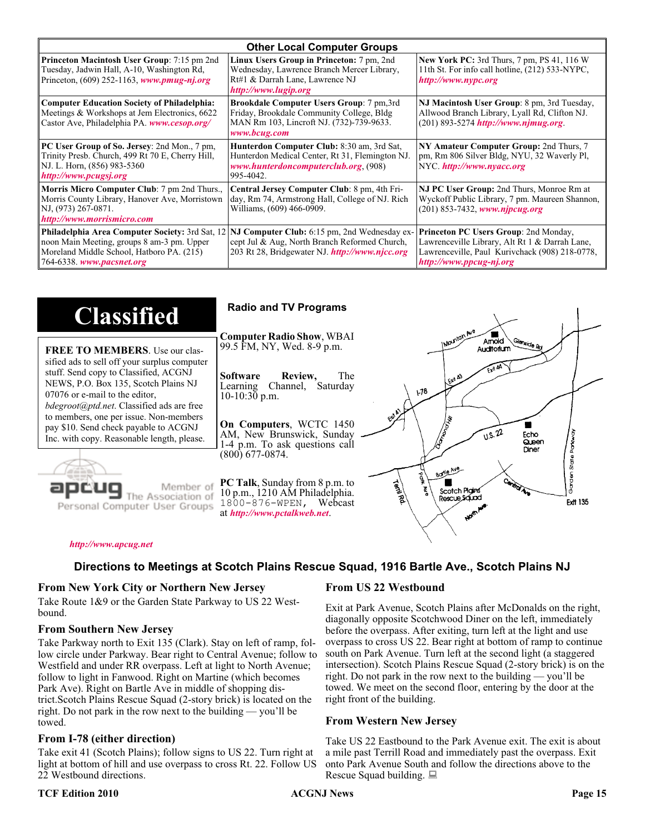| <b>Other Local Computer Groups</b>                                                                                                                                             |                                                                                                                                                           |                                                                                                                                                                      |  |
|--------------------------------------------------------------------------------------------------------------------------------------------------------------------------------|-----------------------------------------------------------------------------------------------------------------------------------------------------------|----------------------------------------------------------------------------------------------------------------------------------------------------------------------|--|
| <b>Princeton Macintosh User Group:</b> 7:15 pm 2nd<br>Tuesday, Jadwin Hall, A-10, Washington Rd,<br>Princeton, $(609)$ 252-1163, www.pmug-nj.org                               | Linux Users Group in Princeton: 7 pm, 2nd<br>Wednesday, Lawrence Branch Mercer Library,<br>Rt#1 & Darrah Lane, Lawrence NJ<br>http://www.lugip.org        | <b>New York PC:</b> 3rd Thurs, 7 pm, PS 41, 116 W<br>11th St. For info call hotline, (212) 533-NYPC,<br>http://www.nypc.org                                          |  |
| <b>Computer Education Society of Philadelphia:</b><br>Meetings & Workshops at Jem Electronics, 6622<br>Castor Ave, Philadelphia PA. www.cesop.org/                             | <b>Brookdale Computer Users Group:</b> 7 pm, 3rd<br>Friday, Brookdale Community College, Bldg<br>MAN Rm 103, Lincroft NJ. (732)-739-9633.<br>www.bcug.com | NJ Macintosh User Group: 8 pm, 3rd Tuesday,<br>Allwood Branch Library, Lyall Rd, Clifton NJ.<br>$(201)$ 893-5274 http://www.njmug.org                                |  |
| PC User Group of So. Jersey: 2nd Mon., 7 pm,<br>Trinity Presb. Church, 499 Rt 70 E, Cherry Hill,<br>NJ. L. Horn, (856) 983-5360<br>http://www.pcugsj.org                       | Hunterdon Computer Club: 8:30 am, 3rd Sat,<br>Hunterdon Medical Center, Rt 31, Flemington NJ.<br>www.hunterdoncomputerclub.org. (908)<br>995-4042.        | NY Amateur Computer Group: 2nd Thurs, 7<br>pm, Rm 806 Silver Bldg, NYU, 32 Waverly Pl,<br>NYC http://www.nyacc.org                                                   |  |
| Morris Micro Computer Club: 7 pm 2nd Thurs.,<br>Morris County Library, Hanover Ave, Morristown<br>NJ, (973) 267-0871.<br>http://www.morrismicro.com                            | Central Jersey Computer Club: 8 pm, 4th Fri-<br>day, Rm 74, Armstrong Hall, College of NJ. Rich<br>Williams, (609) 466-0909.                              | NJ PC User Group: 2nd Thurs, Monroe Rm at<br>Wyckoff Public Library, 7 pm. Maureen Shannon,<br>$(201)$ 853-7432, www.njpcug.org                                      |  |
| <b>Philadelphia Area Computer Society: 3rd Sat, 12</b><br>noon Main Meeting, groups 8 am-3 pm. Upper<br>Moreland Middle School, Hatboro PA. (215)<br>764-6338. www.pacsnet.org | NJ Computer Club: 6:15 pm, 2nd Wednesday ex-<br>cept Jul & Aug, North Branch Reformed Church,<br>203 Rt 28, Bridgewater NJ. http://www.njcc.org           | Princeton PC Users Group: 2nd Monday,<br>Lawrenceville Library, Alt Rt 1 & Darrah Lane,<br>Lawrenceville, Paul Kurivchack (908) 218-0778,<br>http://www.ppcug-nj.org |  |

| <b>Classified</b>                                                                                                                                                                                                                                                                                                                                                                             | <b>Radio and TV Programs</b>                                                                                                                                                                                                                                                                                                                                   |
|-----------------------------------------------------------------------------------------------------------------------------------------------------------------------------------------------------------------------------------------------------------------------------------------------------------------------------------------------------------------------------------------------|----------------------------------------------------------------------------------------------------------------------------------------------------------------------------------------------------------------------------------------------------------------------------------------------------------------------------------------------------------------|
| <b>FREE TO MEMBERS.</b> Use our clas-<br>sified ads to sell off your surplus computer<br>stuff. Send copy to Classified, ACGNJ<br>NEWS, P.O. Box 135, Scotch Plains NJ<br>07076 or e-mail to the editor,<br><i>bdegroot@ptd.net.</i> Classified ads are free<br>to members, one per issue. Non-members<br>pay \$10. Send check payable to ACGNJ<br>Inc. with copy. Reasonable length, please. | IMOUNTON AVE<br><b>Computer Radio Show, WBAI</b><br>Amold<br>Slenside Rd<br>99.5 FM, NY, Wed. 8-9 p.m.<br>Auditorium<br>The<br><b>Software</b><br>Review,<br>L Exh A3<br>Channel, Saturday<br>Learning<br>178<br>$10-10:30$ p.m.<br>On Computers, WCTC 1450<br>0.5.22<br>AM, New Brunswick, Sunday<br>Echo<br>Queen<br>1-4 p.m. To ask questions call<br>Diner |
| Member of<br>ociation of<br>Personal Computer User Groups                                                                                                                                                                                                                                                                                                                                     | (800) 677-0874.<br>Borle Ave<br>D<br><b>Cantrol Ave</b><br><b>PC Talk</b> , Sunday from 8 p.m. to<br>Territory<br>Scotch Plains<br>10 p.m., 1210 AM Philadelphia.<br>Rescue Sound<br><b>Ext 135</b><br>1800-876-WPEN, Webcast<br>at http://www.pctalkweb.net.<br>$\mathbf{v}_{q}$                                                                              |

#### *<http://www.apcug.net>*

#### **Directions to Meetings at Scotch Plains Rescue Squad, 1916 Bartle Ave., Scotch Plains NJ**

#### **From New York City or Northern New Jersey**

Take Route 1&9 or the Garden State Parkway to US 22 Westbound.

#### **From Southern New Jersey**

Take Parkway north to Exit 135 (Clark). Stay on left of ramp, follow circle under Parkway. Bear right to Central Avenue; follow to Westfield and under RR overpass. Left at light to North Avenue; follow to light in Fanwood. Right on Martine (which becomes Park Ave). Right on Bartle Ave in middle of shopping district.Scotch Plains Rescue Squad (2-story brick) is located on the right. Do not park in the row next to the building — you'll be towed.

#### **From I-78 (either direction)**

Take exit 41 (Scotch Plains); follow signs to US 22. Turn right at light at bottom of hill and use overpass to cross Rt. 22. Follow US 22 Westbound directions.

#### **TCF Edition 2010 CCF Edition 2010 ACGNJ News Page 15**

#### **From US 22 Westbound**

Exit at Park Avenue, Scotch Plains after McDonalds on the right, diagonally opposite Scotchwood Diner on the left, immediately before the overpass. After exiting, turn left at the light and use overpass to cross US 22. Bear right at bottom of ramp to continue south on Park Avenue. Turn left at the second light (a staggered intersection). Scotch Plains Rescue Squad (2-story brick) is on the right. Do not park in the row next to the building — you'll be towed. We meet on the second floor, entering by the door at the right front of the building.

#### **From Western New Jersey**

Take US 22 Eastbound to the Park Avenue exit. The exit is about a mile past Terrill Road and immediately past the overpass. Exit onto Park Avenue South and follow the directions above to the Rescue Squad building.